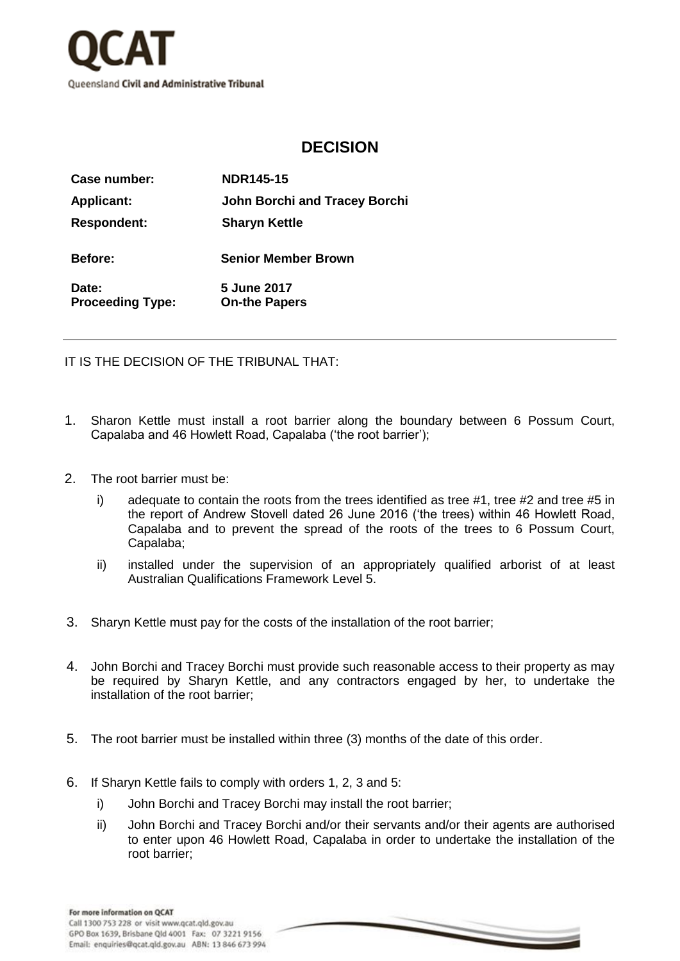

## **DECISION**

| Case number:                     | <b>NDR145-15</b>                    |
|----------------------------------|-------------------------------------|
| <b>Applicant:</b>                | John Borchi and Tracey Borchi       |
| <b>Respondent:</b>               | <b>Sharyn Kettle</b>                |
| <b>Before:</b>                   | <b>Senior Member Brown</b>          |
| Date:<br><b>Proceeding Type:</b> | 5 June 2017<br><b>On-the Papers</b> |

IT IS THE DECISION OF THE TRIBUNAL THAT:

- 1. Sharon Kettle must install a root barrier along the boundary between 6 Possum Court, Capalaba and 46 Howlett Road, Capalaba ('the root barrier');
- 2. The root barrier must be:
	- i) adequate to contain the roots from the trees identified as tree #1, tree #2 and tree #5 in the report of Andrew Stovell dated 26 June 2016 ('the trees) within 46 Howlett Road, Capalaba and to prevent the spread of the roots of the trees to 6 Possum Court, Capalaba;
	- ii) installed under the supervision of an appropriately qualified arborist of at least Australian Qualifications Framework Level 5.
- 3. Sharyn Kettle must pay for the costs of the installation of the root barrier;
- 4. John Borchi and Tracey Borchi must provide such reasonable access to their property as may be required by Sharyn Kettle, and any contractors engaged by her, to undertake the installation of the root barrier;
- 5. The root barrier must be installed within three (3) months of the date of this order.
- 6. If Sharyn Kettle fails to comply with orders 1, 2, 3 and 5:
	- i) John Borchi and Tracey Borchi may install the root barrier;
	- ii) John Borchi and Tracey Borchi and/or their servants and/or their agents are authorised to enter upon 46 Howlett Road, Capalaba in order to undertake the installation of the root barrier;